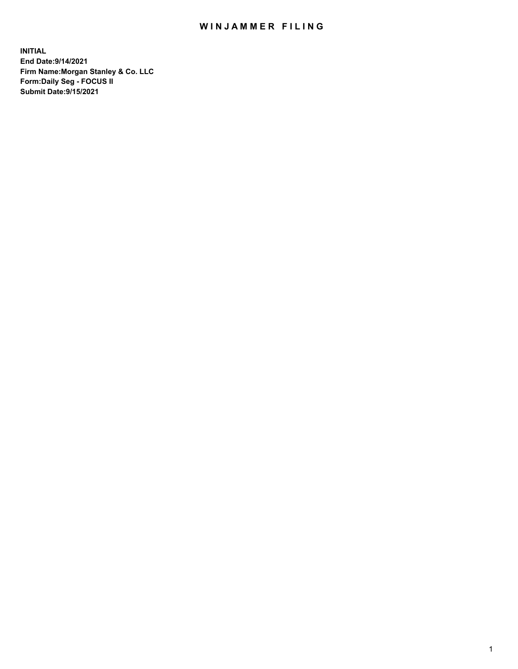## WIN JAMMER FILING

**INITIAL End Date:9/14/2021 Firm Name:Morgan Stanley & Co. LLC Form:Daily Seg - FOCUS II Submit Date:9/15/2021**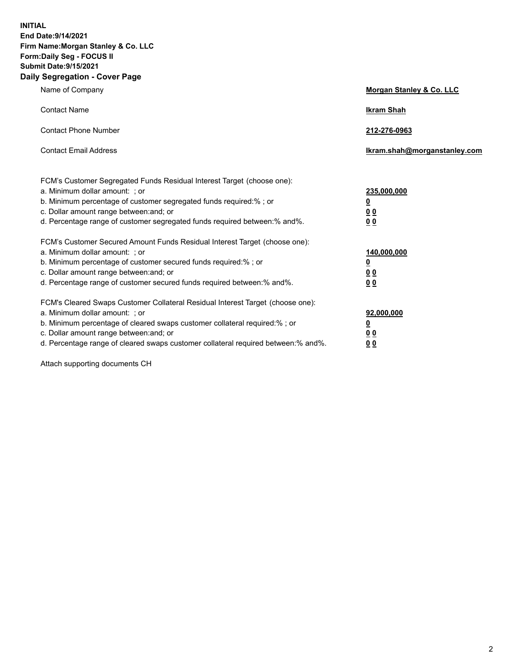**INITIAL End Date:9/14/2021 Firm Name:Morgan Stanley & Co. LLC Form:Daily Seg - FOCUS II Submit Date:9/15/2021 Daily Segregation - Cover Page**

| Name of Company                                                                                                                                                                                                                                                                                                                | <b>Morgan Stanley &amp; Co. LLC</b>                    |
|--------------------------------------------------------------------------------------------------------------------------------------------------------------------------------------------------------------------------------------------------------------------------------------------------------------------------------|--------------------------------------------------------|
| <b>Contact Name</b>                                                                                                                                                                                                                                                                                                            | <b>Ikram Shah</b>                                      |
| <b>Contact Phone Number</b>                                                                                                                                                                                                                                                                                                    | 212-276-0963                                           |
| <b>Contact Email Address</b>                                                                                                                                                                                                                                                                                                   | Ikram.shah@morganstanley.com                           |
| FCM's Customer Segregated Funds Residual Interest Target (choose one):<br>a. Minimum dollar amount: ; or<br>b. Minimum percentage of customer segregated funds required:% ; or<br>c. Dollar amount range between: and; or<br>d. Percentage range of customer segregated funds required between:% and%.                         | 235,000,000<br><u>0</u><br>0 Q<br>0 Q                  |
| FCM's Customer Secured Amount Funds Residual Interest Target (choose one):<br>a. Minimum dollar amount: ; or<br>b. Minimum percentage of customer secured funds required:% ; or<br>c. Dollar amount range between: and; or<br>d. Percentage range of customer secured funds required between: % and %.                         | 140,000,000<br><u>0</u><br><u>00</u><br>0 <sub>0</sub> |
| FCM's Cleared Swaps Customer Collateral Residual Interest Target (choose one):<br>a. Minimum dollar amount: ; or<br>b. Minimum percentage of cleared swaps customer collateral required:% ; or<br>c. Dollar amount range between: and; or<br>d. Percentage range of cleared swaps customer collateral required between:% and%. | 92,000,000<br><u>0</u><br>0 Q<br>00                    |

Attach supporting documents CH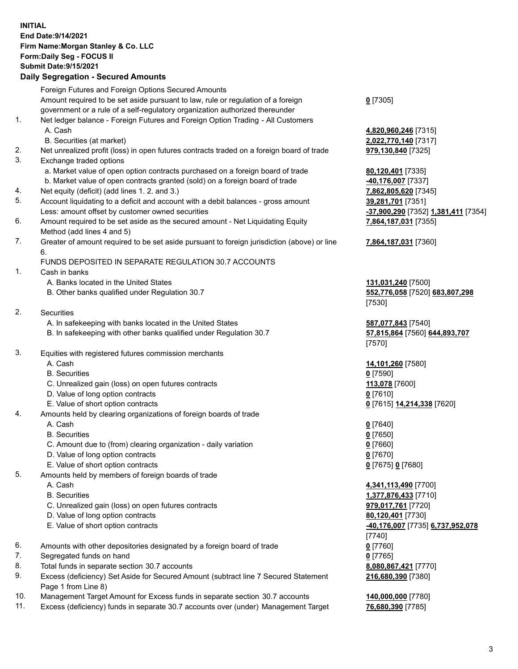## **INITIAL End Date:9/14/2021 Firm Name:Morgan Stanley & Co. LLC Form:Daily Seg - FOCUS II Submit Date:9/15/2021**

## **Daily Segregation - Secured Amounts**

Foreign Futures and Foreign Options Secured Amounts Amount required to be set aside pursuant to law, rule or regulation of a foreign government or a rule of a self-regulatory organization authorized thereunder 1. Net ledger balance - Foreign Futures and Foreign Option Trading - All Customers A. Cash **4,820,960,246** [7315] B. Securities (at market) **2,022,770,140** [7317] 2. Net unrealized profit (loss) in open futures contracts traded on a foreign board of trade **979,130,840** [7325] 3. Exchange traded options a. Market value of open option contracts purchased on a foreign board of trade **80,120,401** [7335] b. Market value of open contracts granted (sold) on a foreign board of trade **-40,176,007** [7337] 4. Net equity (deficit) (add lines 1. 2. and 3.) **7,862,805,620** [7345] 5. Account liquidating to a deficit and account with a debit balances - gross amount **39,281,701** [7351] Less: amount offset by customer owned securities **-37,900,290** [7352] **1,381,411** [7354] 6. Amount required to be set aside as the secured amount - Net Liquidating Equity Method (add lines 4 and 5) 7. Greater of amount required to be set aside pursuant to foreign jurisdiction (above) or line 6. FUNDS DEPOSITED IN SEPARATE REGULATION 30.7 ACCOUNTS 1. Cash in banks A. Banks located in the United States **131,031,240** [7500] B. Other banks qualified under Regulation 30.7 **552,776,058** [7520] **683,807,298** 2. Securities A. In safekeeping with banks located in the United States **587,077,843** [7540] B. In safekeeping with other banks qualified under Regulation 30.7 **57,815,864** [7560] **644,893,707** 3. Equities with registered futures commission merchants A. Cash **14,101,260** [7580] B. Securities **0** [7590] C. Unrealized gain (loss) on open futures contracts **113,078** [7600] D. Value of long option contracts **0** [7610] E. Value of short option contracts **0** [7615] **14,214,338** [7620] 4. Amounts held by clearing organizations of foreign boards of trade A. Cash **0** [7640] B. Securities **0** [7650] C. Amount due to (from) clearing organization - daily variation **0** [7660] D. Value of long option contracts **0** [7670] E. Value of short option contracts **0** [7675] **0** [7680] 5. Amounts held by members of foreign boards of trade A. Cash **4,341,113,490** [7700] B. Securities **1,377,876,433** [7710] C. Unrealized gain (loss) on open futures contracts **979,017,761** [7720] D. Value of long option contracts **80,120,401** [7730] E. Value of short option contracts **-40,176,007** [7735] **6,737,952,078** 6. Amounts with other depositories designated by a foreign board of trade **0** [7760] 7. Segregated funds on hand **0** [7765] 8. Total funds in separate section 30.7 accounts **8,080,867,421** [7770] 9. Excess (deficiency) Set Aside for Secured Amount (subtract line 7 Secured Statement Page 1 from Line 8)

- 10. Management Target Amount for Excess funds in separate section 30.7 accounts **140,000,000** [7780]
- 11. Excess (deficiency) funds in separate 30.7 accounts over (under) Management Target **76,680,390** [7785]

**0** [7305]

**7,864,187,031** [7355]

## **7,864,187,031** [7360]

[7530]

[7570]

[7740] **216,680,390** [7380]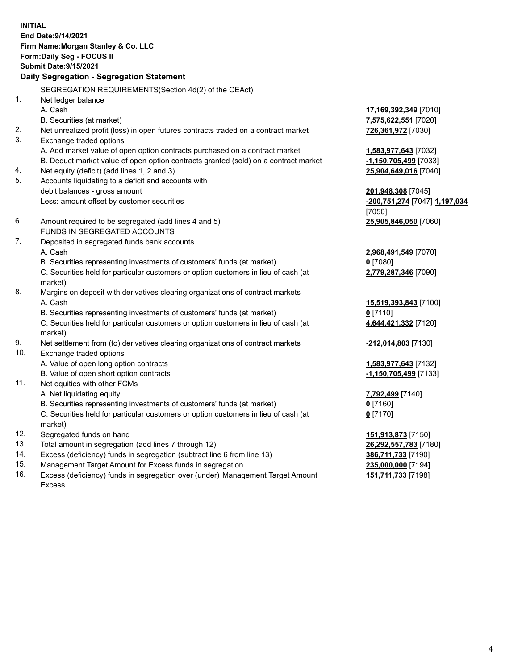**INITIAL End Date:9/14/2021 Firm Name:Morgan Stanley & Co. LLC Form:Daily Seg - FOCUS II Submit Date:9/15/2021 Daily Segregation - Segregation Statement** SEGREGATION REQUIREMENTS(Section 4d(2) of the CEAct) 1. Net ledger balance A. Cash **17,169,392,349** [7010] B. Securities (at market) **7,575,622,551** [7020] 2. Net unrealized profit (loss) in open futures contracts traded on a contract market **726,361,972** [7030] 3. Exchange traded options A. Add market value of open option contracts purchased on a contract market **1,583,977,643** [7032] B. Deduct market value of open option contracts granted (sold) on a contract market **-1,150,705,499** [7033] 4. Net equity (deficit) (add lines 1, 2 and 3) **25,904,649,016** [7040] 5. Accounts liquidating to a deficit and accounts with debit balances - gross amount **201,948,308** [7045] Less: amount offset by customer securities **-200,751,274** [7047] **1,197,034** [7050] 6. Amount required to be segregated (add lines 4 and 5) **25,905,846,050** [7060] FUNDS IN SEGREGATED ACCOUNTS 7. Deposited in segregated funds bank accounts A. Cash **2,968,491,549** [7070] B. Securities representing investments of customers' funds (at market) **0** [7080] C. Securities held for particular customers or option customers in lieu of cash (at market) **2,779,287,346** [7090] 8. Margins on deposit with derivatives clearing organizations of contract markets A. Cash **15,519,393,843** [7100] B. Securities representing investments of customers' funds (at market) **0** [7110] C. Securities held for particular customers or option customers in lieu of cash (at market) **4,644,421,332** [7120] 9. Net settlement from (to) derivatives clearing organizations of contract markets **-212,014,803** [7130] 10. Exchange traded options A. Value of open long option contracts **1,583,977,643** [7132] B. Value of open short option contracts **-1,150,705,499** [7133] 11. Net equities with other FCMs A. Net liquidating equity **7,792,499** [7140] B. Securities representing investments of customers' funds (at market) **0** [7160] C. Securities held for particular customers or option customers in lieu of cash (at market) **0** [7170] 12. Segregated funds on hand **151,913,873** [7150] 13. Total amount in segregation (add lines 7 through 12) **26,292,557,783** [7180] 14. Excess (deficiency) funds in segregation (subtract line 6 from line 13) **386,711,733** [7190] 15. Management Target Amount for Excess funds in segregation **235,000,000** [7194]

16. Excess (deficiency) funds in segregation over (under) Management Target Amount Excess

**151,711,733** [7198]